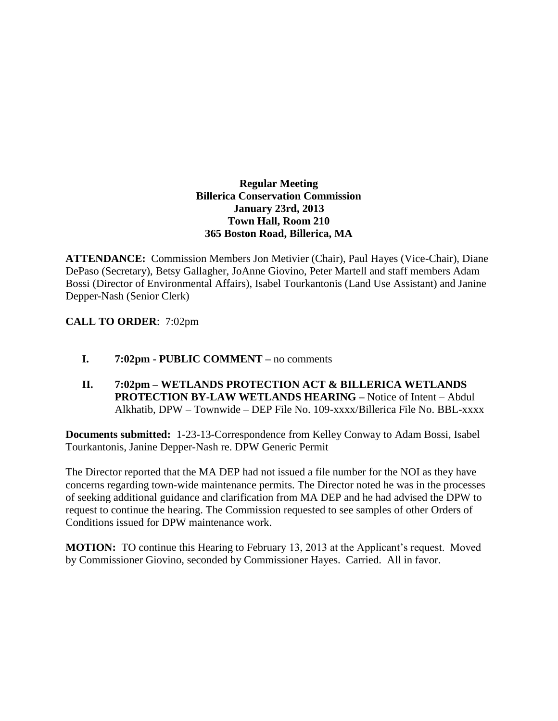## **Regular Meeting Billerica Conservation Commission January 23rd, 2013 Town Hall, Room 210 365 Boston Road, Billerica, MA**

**ATTENDANCE:** Commission Members Jon Metivier (Chair), Paul Hayes (Vice-Chair), Diane DePaso (Secretary), Betsy Gallagher, JoAnne Giovino, Peter Martell and staff members Adam Bossi (Director of Environmental Affairs), Isabel Tourkantonis (Land Use Assistant) and Janine Depper-Nash (Senior Clerk)

# **CALL TO ORDER**: 7:02pm

- **I. 7:02pm - PUBLIC COMMENT –** no comments
- **II. 7:02pm – WETLANDS PROTECTION ACT & BILLERICA WETLANDS PROTECTION BY-LAW WETLANDS HEARING –** Notice of Intent – Abdul Alkhatib, DPW – Townwide – DEP File No. 109-xxxx/Billerica File No. BBL-xxxx

**Documents submitted:** 1-23-13-Correspondence from Kelley Conway to Adam Bossi, Isabel Tourkantonis, Janine Depper-Nash re. DPW Generic Permit

The Director reported that the MA DEP had not issued a file number for the NOI as they have concerns regarding town-wide maintenance permits. The Director noted he was in the processes of seeking additional guidance and clarification from MA DEP and he had advised the DPW to request to continue the hearing. The Commission requested to see samples of other Orders of Conditions issued for DPW maintenance work.

**MOTION:** TO continue this Hearing to February 13, 2013 at the Applicant's request. Moved by Commissioner Giovino, seconded by Commissioner Hayes. Carried. All in favor.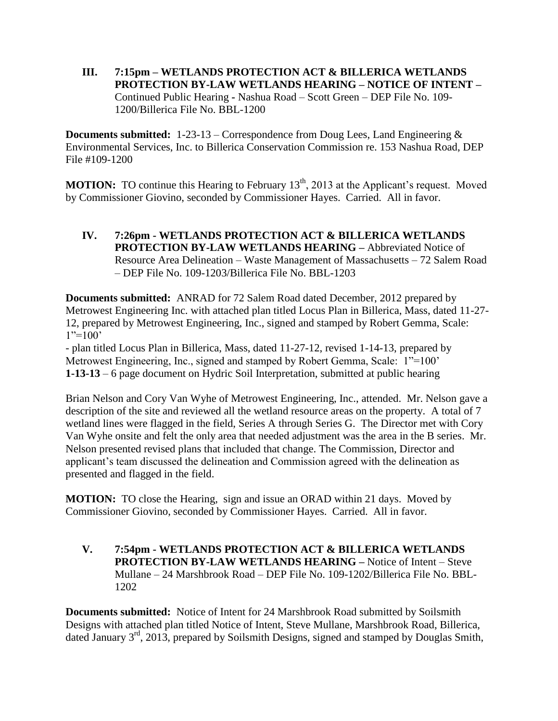**III. 7:15pm – WETLANDS PROTECTION ACT & BILLERICA WETLANDS PROTECTION BY-LAW WETLANDS HEARING – NOTICE OF INTENT –** Continued Public Hearing **-** Nashua Road – Scott Green – DEP File No. 109- 1200/Billerica File No. BBL-1200

**Documents submitted:** 1-23-13 – Correspondence from Doug Lees, Land Engineering & Environmental Services, Inc. to Billerica Conservation Commission re. 153 Nashua Road, DEP File #109-1200

**MOTION:** TO continue this Hearing to February 13<sup>th</sup>, 2013 at the Applicant's request. Moved by Commissioner Giovino, seconded by Commissioner Hayes. Carried. All in favor.

**IV. 7:26pm - WETLANDS PROTECTION ACT & BILLERICA WETLANDS PROTECTION BY-LAW WETLANDS HEARING –** Abbreviated Notice of Resource Area Delineation – Waste Management of Massachusetts – 72 Salem Road – DEP File No. 109-1203/Billerica File No. BBL-1203

**Documents submitted:** ANRAD for 72 Salem Road dated December, 2012 prepared by Metrowest Engineering Inc. with attached plan titled Locus Plan in Billerica, Mass, dated 11-27- 12, prepared by Metrowest Engineering, Inc., signed and stamped by Robert Gemma, Scale:  $1"=100'$ 

- plan titled Locus Plan in Billerica, Mass, dated 11-27-12, revised 1-14-13, prepared by Metrowest Engineering, Inc., signed and stamped by Robert Gemma, Scale: 1"=100" **1-13-13** – 6 page document on Hydric Soil Interpretation, submitted at public hearing

Brian Nelson and Cory Van Wyhe of Metrowest Engineering, Inc., attended. Mr. Nelson gave a description of the site and reviewed all the wetland resource areas on the property. A total of 7 wetland lines were flagged in the field, Series A through Series G. The Director met with Cory Van Wyhe onsite and felt the only area that needed adjustment was the area in the B series. Mr. Nelson presented revised plans that included that change. The Commission, Director and applicant's team discussed the delineation and Commission agreed with the delineation as presented and flagged in the field.

**MOTION:** TO close the Hearing, sign and issue an ORAD within 21 days. Moved by Commissioner Giovino, seconded by Commissioner Hayes. Carried. All in favor.

**V. 7:54pm - WETLANDS PROTECTION ACT & BILLERICA WETLANDS PROTECTION BY-LAW WETLANDS HEARING –** Notice of Intent – Steve Mullane – 24 Marshbrook Road – DEP File No. 109-1202/Billerica File No. BBL-1202

**Documents submitted:** Notice of Intent for 24 Marshbrook Road submitted by Soilsmith Designs with attached plan titled Notice of Intent, Steve Mullane, Marshbrook Road, Billerica, dated January 3rd, 2013, prepared by Soilsmith Designs, signed and stamped by Douglas Smith,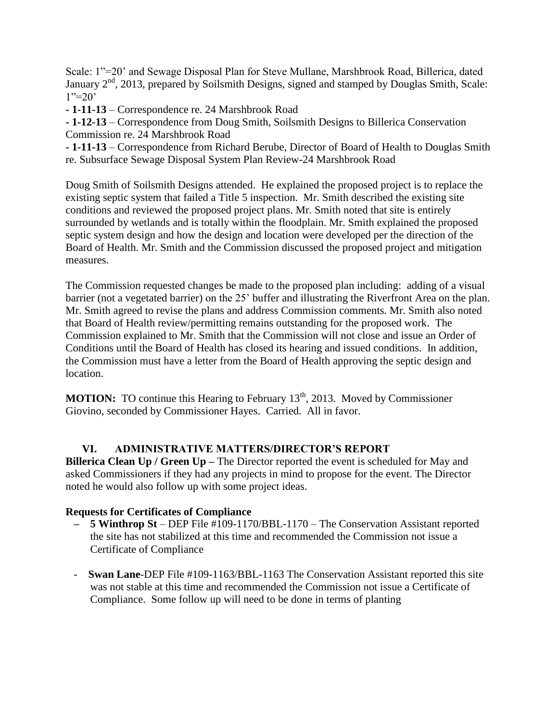Scale: 1"=20' and Sewage Disposal Plan for Steve Mullane, Marshbrook Road, Billerica, dated January 2<sup>nd</sup>, 2013, prepared by Soilsmith Designs, signed and stamped by Douglas Smith, Scale:  $1" = 20'$ 

**- 1-11-13** – Correspondence re. 24 Marshbrook Road

**- 1-12-13** – Correspondence from Doug Smith, Soilsmith Designs to Billerica Conservation Commission re. 24 Marshbrook Road

**- 1-11-13** – Correspondence from Richard Berube, Director of Board of Health to Douglas Smith re. Subsurface Sewage Disposal System Plan Review-24 Marshbrook Road

Doug Smith of Soilsmith Designs attended. He explained the proposed project is to replace the existing septic system that failed a Title 5 inspection. Mr. Smith described the existing site conditions and reviewed the proposed project plans. Mr. Smith noted that site is entirely surrounded by wetlands and is totally within the floodplain. Mr. Smith explained the proposed septic system design and how the design and location were developed per the direction of the Board of Health. Mr. Smith and the Commission discussed the proposed project and mitigation measures.

The Commission requested changes be made to the proposed plan including: adding of a visual barrier (not a vegetated barrier) on the 25' buffer and illustrating the Riverfront Area on the plan. Mr. Smith agreed to revise the plans and address Commission comments. Mr. Smith also noted that Board of Health review/permitting remains outstanding for the proposed work. The Commission explained to Mr. Smith that the Commission will not close and issue an Order of Conditions until the Board of Health has closed its hearing and issued conditions. In addition, the Commission must have a letter from the Board of Health approving the septic design and location.

**MOTION:** TO continue this Hearing to February 13<sup>th</sup>, 2013. Moved by Commissioner Giovino, seconded by Commissioner Hayes. Carried. All in favor.

## **VI. ADMINISTRATIVE MATTERS/DIRECTOR'S REPORT**

**Billerica Clean Up / Green Up –** The Director reported the event is scheduled for May and asked Commissioners if they had any projects in mind to propose for the event. The Director noted he would also follow up with some project ideas.

#### **Requests for Certificates of Compliance**

- **– 5 Winthrop St** DEP File #109-1170/BBL-1170 The Conservation Assistant reported the site has not stabilized at this time and recommended the Commission not issue a Certificate of Compliance
- **Swan Lane-DEP File #109-1163/BBL-1163 The Conservation Assistant reported this site** was not stable at this time and recommended the Commission not issue a Certificate of Compliance. Some follow up will need to be done in terms of planting